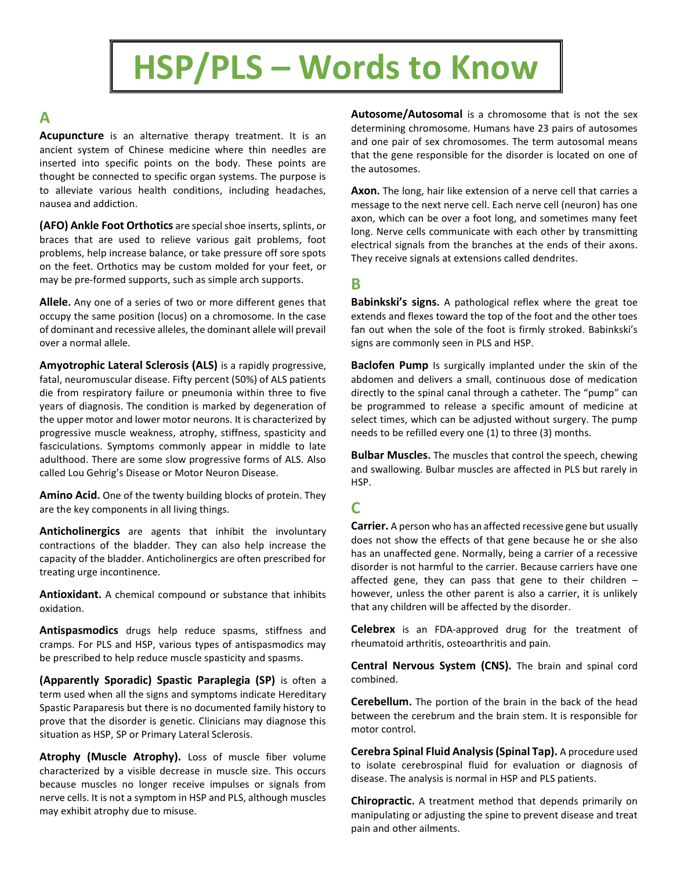# HSP/PLS – Words to Know

## A

Acupuncture is an alternative therapy treatment. It is an ancient system of Chinese medicine where thin needles are inserted into specific points on the body. These points are thought be connected to specific organ systems. The purpose is to alleviate various health conditions, including headaches, nausea and addiction.

(AFO) Ankle Foot Orthotics are special shoe inserts, splints, or braces that are used to relieve various gait problems, foot problems, help increase balance, or take pressure off sore spots on the feet. Orthotics may be custom molded for your feet, or may be pre-formed supports, such as simple arch supports.

Allele. Any one of a series of two or more different genes that occupy the same position (locus) on a chromosome. In the case of dominant and recessive alleles, the dominant allele will prevail over a normal allele.

Amyotrophic Lateral Sclerosis (ALS) is a rapidly progressive, fatal, neuromuscular disease. Fifty percent (50%) of ALS patients die from respiratory failure or pneumonia within three to five years of diagnosis. The condition is marked by degeneration of the upper motor and lower motor neurons. It is characterized by progressive muscle weakness, atrophy, stiffness, spasticity and fasciculations. Symptoms commonly appear in middle to late adulthood. There are some slow progressive forms of ALS. Also called Lou Gehrig's Disease or Motor Neuron Disease.

Amino Acid. One of the twenty building blocks of protein. They are the key components in all living things.

Anticholinergics are agents that inhibit the involuntary contractions of the bladder. They can also help increase the capacity of the bladder. Anticholinergics are often prescribed for treating urge incontinence.

Antioxidant. A chemical compound or substance that inhibits oxidation.

Antispasmodics drugs help reduce spasms, stiffness and cramps. For PLS and HSP, various types of antispasmodics may be prescribed to help reduce muscle spasticity and spasms.

(Apparently Sporadic) Spastic Paraplegia (SP) is often a term used when all the signs and symptoms indicate Hereditary Spastic Paraparesis but there is no documented family history to prove that the disorder is genetic. Clinicians may diagnose this situation as HSP, SP or Primary Lateral Sclerosis.

Atrophy (Muscle Atrophy). Loss of muscle fiber volume characterized by a visible decrease in muscle size. This occurs because muscles no longer receive impulses or signals from nerve cells. It is not a symptom in HSP and PLS, although muscles may exhibit atrophy due to misuse.

Autosome/Autosomal is a chromosome that is not the sex determining chromosome. Humans have 23 pairs of autosomes and one pair of sex chromosomes. The term autosomal means that the gene responsible for the disorder is located on one of the autosomes.

Axon. The long, hair like extension of a nerve cell that carries a message to the next nerve cell. Each nerve cell (neuron) has one axon, which can be over a foot long, and sometimes many feet long. Nerve cells communicate with each other by transmitting electrical signals from the branches at the ends of their axons. They receive signals at extensions called dendrites.

## B

Babinkski's signs. A pathological reflex where the great toe extends and flexes toward the top of the foot and the other toes fan out when the sole of the foot is firmly stroked. Babinkski's signs are commonly seen in PLS and HSP.

**Baclofen Pump** Is surgically implanted under the skin of the abdomen and delivers a small, continuous dose of medication directly to the spinal canal through a catheter. The "pump" can be programmed to release a specific amount of medicine at select times, which can be adjusted without surgery. The pump needs to be refilled every one (1) to three (3) months.

**Bulbar Muscles.** The muscles that control the speech, chewing and swallowing. Bulbar muscles are affected in PLS but rarely in HSP.

# C

Carrier. A person who has an affected recessive gene but usually does not show the effects of that gene because he or she also has an unaffected gene. Normally, being a carrier of a recessive disorder is not harmful to the carrier. Because carriers have one affected gene, they can pass that gene to their children – however, unless the other parent is also a carrier, it is unlikely that any children will be affected by the disorder.

Celebrex is an FDA-approved drug for the treatment of rheumatoid arthritis, osteoarthritis and pain.

Central Nervous System (CNS). The brain and spinal cord combined.

Cerebellum. The portion of the brain in the back of the head between the cerebrum and the brain stem. It is responsible for motor control.

Cerebra Spinal Fluid Analysis (Spinal Tap). A procedure used to isolate cerebrospinal fluid for evaluation or diagnosis of disease. The analysis is normal in HSP and PLS patients.

Chiropractic. A treatment method that depends primarily on manipulating or adjusting the spine to prevent disease and treat pain and other ailments.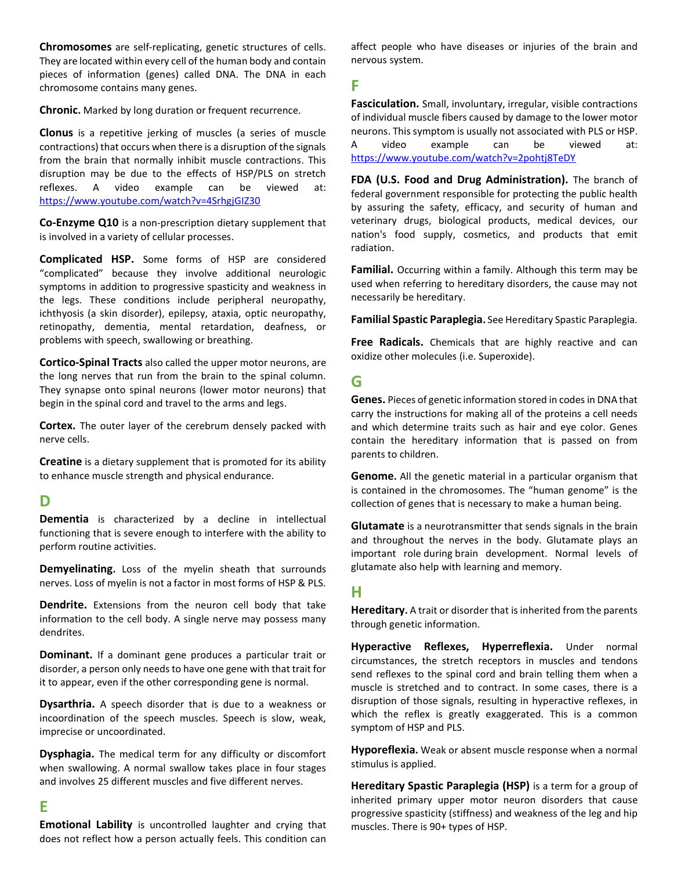Chromosomes are self-replicating, genetic structures of cells. They are located within every cell of the human body and contain pieces of information (genes) called DNA. The DNA in each chromosome contains many genes.

Chronic. Marked by long duration or frequent recurrence.

Clonus is a repetitive jerking of muscles (a series of muscle contractions) that occurs when there is a disruption of the signals from the brain that normally inhibit muscle contractions. This disruption may be due to the effects of HSP/PLS on stretch reflexes. A video example can be viewed at: https://www.youtube.com/watch?v=4SrhgjGIZ30

Co-Enzyme Q10 is a non-prescription dietary supplement that is involved in a variety of cellular processes.

Complicated HSP. Some forms of HSP are considered "complicated" because they involve additional neurologic symptoms in addition to progressive spasticity and weakness in the legs. These conditions include peripheral neuropathy, ichthyosis (a skin disorder), epilepsy, ataxia, optic neuropathy, retinopathy, dementia, mental retardation, deafness, or problems with speech, swallowing or breathing.

Cortico-Spinal Tracts also called the upper motor neurons, are the long nerves that run from the brain to the spinal column. They synapse onto spinal neurons (lower motor neurons) that begin in the spinal cord and travel to the arms and legs.

**Cortex.** The outer layer of the cerebrum densely packed with nerve cells.

Creatine is a dietary supplement that is promoted for its ability to enhance muscle strength and physical endurance.

#### D

Dementia is characterized by a decline in intellectual functioning that is severe enough to interfere with the ability to perform routine activities.

Demyelinating. Loss of the myelin sheath that surrounds nerves. Loss of myelin is not a factor in most forms of HSP & PLS.

**Dendrite.** Extensions from the neuron cell body that take information to the cell body. A single nerve may possess many dendrites.

**Dominant.** If a dominant gene produces a particular trait or disorder, a person only needs to have one gene with that trait for it to appear, even if the other corresponding gene is normal.

Dysarthria. A speech disorder that is due to a weakness or incoordination of the speech muscles. Speech is slow, weak, imprecise or uncoordinated.

Dysphagia. The medical term for any difficulty or discomfort when swallowing. A normal swallow takes place in four stages and involves 25 different muscles and five different nerves.

#### E

Emotional Lability is uncontrolled laughter and crying that does not reflect how a person actually feels. This condition can affect people who have diseases or injuries of the brain and nervous system.

## F

Fasciculation. Small, involuntary, irregular, visible contractions of individual muscle fibers caused by damage to the lower motor neurons. This symptom is usually not associated with PLS or HSP. A video example can be viewed at: https://www.youtube.com/watch?v=2pohtj8TeDY

FDA (U.S. Food and Drug Administration). The branch of federal government responsible for protecting the public health by assuring the safety, efficacy, and security of human and veterinary drugs, biological products, medical devices, our nation's food supply, cosmetics, and products that emit radiation.

Familial. Occurring within a family. Although this term may be used when referring to hereditary disorders, the cause may not necessarily be hereditary.

Familial Spastic Paraplegia. See Hereditary Spastic Paraplegia.

Free Radicals. Chemicals that are highly reactive and can oxidize other molecules (i.e. Superoxide).

## G

Genes. Pieces of genetic information stored in codes in DNA that carry the instructions for making all of the proteins a cell needs and which determine traits such as hair and eye color. Genes contain the hereditary information that is passed on from parents to children.

Genome. All the genetic material in a particular organism that is contained in the chromosomes. The "human genome" is the collection of genes that is necessary to make a human being.

Glutamate is a neurotransmitter that sends signals in the brain and throughout the nerves in the body. Glutamate plays an important role during brain development. Normal levels of glutamate also help with learning and memory.

## H

Hereditary. A trait or disorder that is inherited from the parents through genetic information.

Hyperactive Reflexes, Hyperreflexia. Under normal circumstances, the stretch receptors in muscles and tendons send reflexes to the spinal cord and brain telling them when a muscle is stretched and to contract. In some cases, there is a disruption of those signals, resulting in hyperactive reflexes, in which the reflex is greatly exaggerated. This is a common symptom of HSP and PLS.

Hyporeflexia. Weak or absent muscle response when a normal stimulus is applied.

Hereditary Spastic Paraplegia (HSP) is a term for a group of inherited primary upper motor neuron disorders that cause progressive spasticity (stiffness) and weakness of the leg and hip muscles. There is 90+ types of HSP.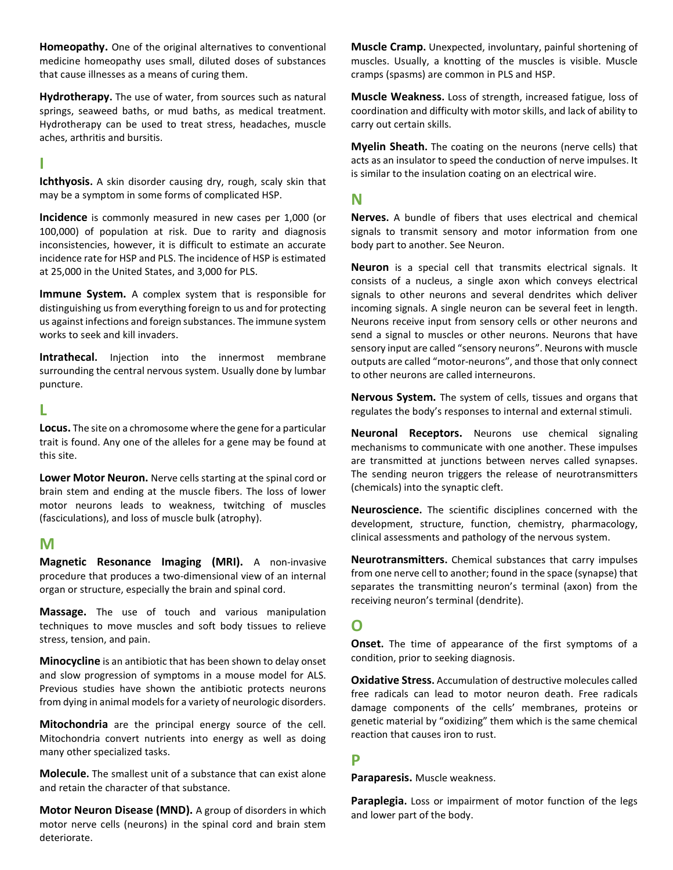Homeopathy. One of the original alternatives to conventional medicine homeopathy uses small, diluted doses of substances that cause illnesses as a means of curing them.

Hydrotherapy. The use of water, from sources such as natural springs, seaweed baths, or mud baths, as medical treatment. Hydrotherapy can be used to treat stress, headaches, muscle aches, arthritis and bursitis.

#### I

Ichthyosis. A skin disorder causing dry, rough, scaly skin that may be a symptom in some forms of complicated HSP.

Incidence is commonly measured in new cases per 1,000 (or 100,000) of population at risk. Due to rarity and diagnosis inconsistencies, however, it is difficult to estimate an accurate incidence rate for HSP and PLS. The incidence of HSP is estimated at 25,000 in the United States, and 3,000 for PLS.

Immune System. A complex system that is responsible for distinguishing us from everything foreign to us and for protecting us against infections and foreign substances. The immune system works to seek and kill invaders.

Intrathecal. Injection into the innermost membrane surrounding the central nervous system. Usually done by lumbar puncture.

#### L

Locus. The site on a chromosome where the gene for a particular trait is found. Any one of the alleles for a gene may be found at this site.

Lower Motor Neuron. Nerve cells starting at the spinal cord or brain stem and ending at the muscle fibers. The loss of lower motor neurons leads to weakness, twitching of muscles (fasciculations), and loss of muscle bulk (atrophy).

#### M

Magnetic Resonance Imaging (MRI). A non-invasive procedure that produces a two-dimensional view of an internal organ or structure, especially the brain and spinal cord.

Massage. The use of touch and various manipulation techniques to move muscles and soft body tissues to relieve stress, tension, and pain.

Minocycline is an antibiotic that has been shown to delay onset and slow progression of symptoms in a mouse model for ALS. Previous studies have shown the antibiotic protects neurons from dying in animal models for a variety of neurologic disorders.

Mitochondria are the principal energy source of the cell. Mitochondria convert nutrients into energy as well as doing many other specialized tasks.

Molecule. The smallest unit of a substance that can exist alone and retain the character of that substance.

Motor Neuron Disease (MND). A group of disorders in which motor nerve cells (neurons) in the spinal cord and brain stem deteriorate.

Muscle Cramp. Unexpected, involuntary, painful shortening of muscles. Usually, a knotting of the muscles is visible. Muscle cramps (spasms) are common in PLS and HSP.

Muscle Weakness. Loss of strength, increased fatigue, loss of coordination and difficulty with motor skills, and lack of ability to carry out certain skills.

**Myelin Sheath.** The coating on the neurons (nerve cells) that acts as an insulator to speed the conduction of nerve impulses. It is similar to the insulation coating on an electrical wire.

### N

Nerves. A bundle of fibers that uses electrical and chemical signals to transmit sensory and motor information from one body part to another. See Neuron.

Neuron is a special cell that transmits electrical signals. It consists of a nucleus, a single axon which conveys electrical signals to other neurons and several dendrites which deliver incoming signals. A single neuron can be several feet in length. Neurons receive input from sensory cells or other neurons and send a signal to muscles or other neurons. Neurons that have sensory input are called "sensory neurons". Neurons with muscle outputs are called "motor-neurons", and those that only connect to other neurons are called interneurons.

Nervous System. The system of cells, tissues and organs that regulates the body's responses to internal and external stimuli.

Neuronal Receptors. Neurons use chemical signaling mechanisms to communicate with one another. These impulses are transmitted at junctions between nerves called synapses. The sending neuron triggers the release of neurotransmitters (chemicals) into the synaptic cleft.

Neuroscience. The scientific disciplines concerned with the development, structure, function, chemistry, pharmacology, clinical assessments and pathology of the nervous system.

Neurotransmitters. Chemical substances that carry impulses from one nerve cell to another; found in the space (synapse) that separates the transmitting neuron's terminal (axon) from the receiving neuron's terminal (dendrite).

## O

**Onset.** The time of appearance of the first symptoms of a condition, prior to seeking diagnosis.

**Oxidative Stress.** Accumulation of destructive molecules called free radicals can lead to motor neuron death. Free radicals damage components of the cells' membranes, proteins or genetic material by "oxidizing" them which is the same chemical reaction that causes iron to rust.

#### P

Paraparesis. Muscle weakness.

Paraplegia. Loss or impairment of motor function of the legs and lower part of the body.